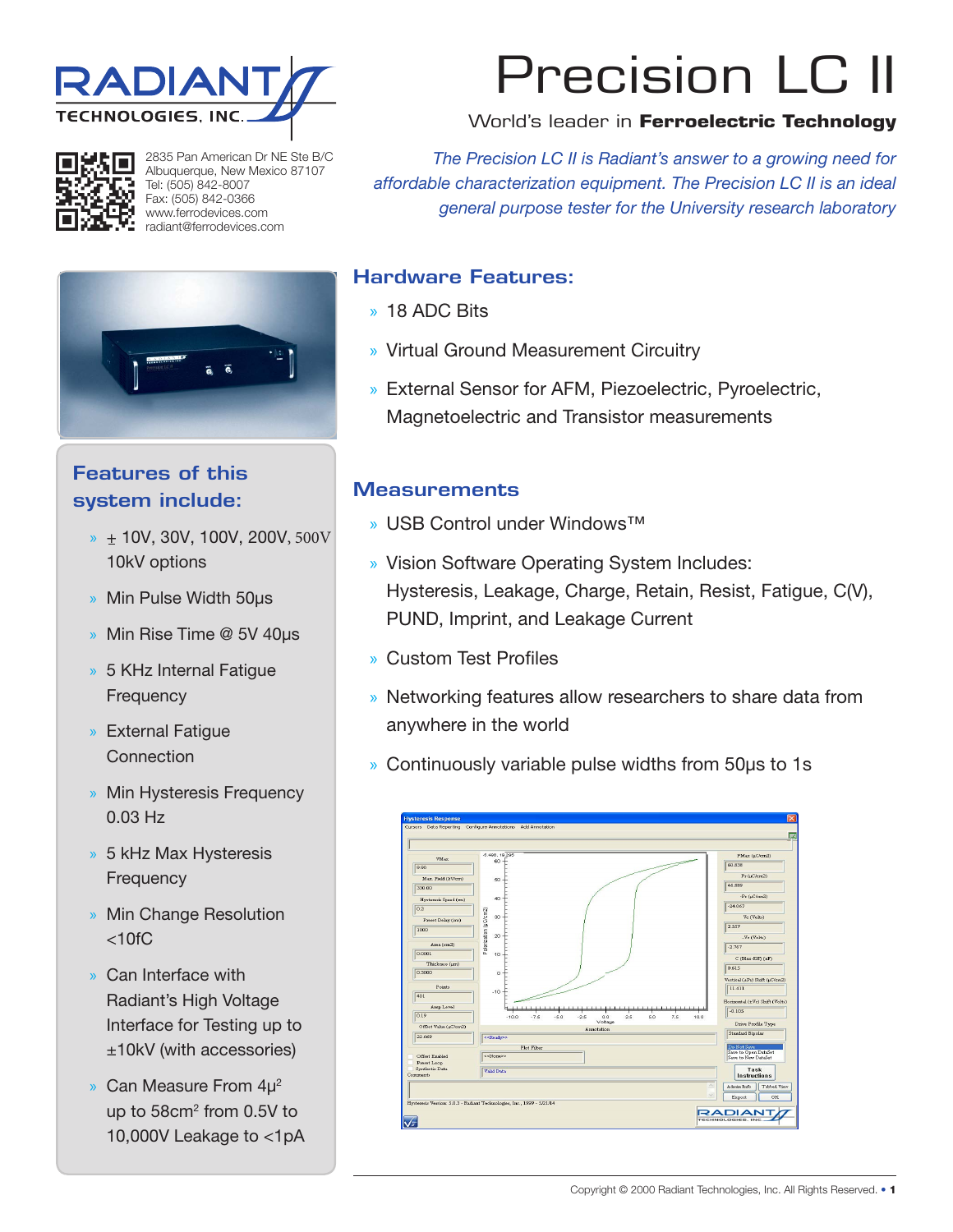



2835 Pan American Dr NE Ste B/C Albuquerque, New Mexico 87107 Tel: (505) 842-8007 Fax: (505) 842-0366 www.ferrodevices.com radiant@ferrodevices.com

# Features of this system include:

- $*$  + 10V, 30V, 100V, 200V, 500V 10kV options
- » Min Pulse Width 50μs
- » Min Rise Time @ 5V 40μs
- » 5 KHz Internal Fatigue **Frequency**
- » External Fatigue **Connection**
- » Min Hysteresis Frequency 0.03 Hz
- » 5 kHz Max Hysteresis **Frequency**
- » Min Change Resolution  $< 10$ f $C$
- » Can Interface with Radiant's High Voltage Interface for Testing up to ±10kV (with accessories)
- » Can Measure From 4μ2 up to 58cm<sup>2</sup> from 0.5V to 10,000V Leakage to <1pA

# Precision LC II

#### World's leader in **Ferroelectric Technology**

*The Precision LC II is Radiant's answer to a growing need for affordable characterization equipment. The Precision LC II is an ideal general purpose tester for the University research laboratory*

#### Hardware Features:

- » 18 ADC Bits
- » Virtual Ground Measurement Circuitry
- » External Sensor for AFM, Piezoelectric, Pyroelectric, Magnetoelectric and Transistor measurements

### **Measurements**

- » USB Control under Windows™
- » Vision Software Operating System Includes: Hysteresis, Leakage, Charge, Retain, Resist, Fatigue, C(V), PUND, Imprint, and Leakage Current
- » Custom Test Profiles
- » Networking features allow researchers to share data from anywhere in the world
- » Continuously variable pulse widths from 50μs to 1s

| <b>VMAx</b>                               | $-5.498.19.295$<br>60                                      | PMax (µC/cm2)                               |
|-------------------------------------------|------------------------------------------------------------|---------------------------------------------|
| 9.90                                      |                                                            | 60.838                                      |
| Max. Field (kV/cm)                        | 50                                                         | $Pr(\mu C/cm2)$                             |
| 330.00                                    |                                                            | 46.889                                      |
| Hysteresis Speed (ms)                     | 40                                                         | $-Pr(jC/cm2)$                               |
| 0.2                                       |                                                            | $-24.067$                                   |
| Preset Delay (ms)                         | Polarization (µC/cm2)<br>30                                | Vc (Volts)                                  |
| 1000                                      |                                                            | 2.557                                       |
|                                           | 20                                                         | -Ve (Volts)                                 |
| Area (cm2)                                |                                                            | $-2.767$                                    |
| 0.0001                                    | 10                                                         | $C$ (Max-Eff) $(nF)$                        |
| Thickness (um)                            |                                                            | 0.615                                       |
| 0.3000                                    | $\bf 0$                                                    | Vertical (±Pr) Shift (µC/cm2)               |
| Points                                    |                                                            | 11.411                                      |
| 401                                       | $-10$                                                      |                                             |
| Amp Level                                 | <b></b>                                                    | Horizontal (±Vc) Shift (Volts)<br>$-0.105$  |
| 0.19                                      | $-7.5$<br>0.0<br>$-10.0$<br>$-5.0$<br>$-2.5$<br>2.5<br>5.0 | 7.5<br>10.0                                 |
| Offict Value (µC/cm2)                     | Voltage<br>Annotation                                      | Drive Profile Type                          |
| 22.669                                    | < <ready>&gt;</ready>                                      | Standard Bipolar                            |
|                                           | Plot Filter                                                | Do Not Save                                 |
| Offiet Enabled                            | < <none>&gt;</none>                                        | Save to Open DataSet<br>Save to New DataSet |
| Preset Loop<br>Synthetic Data<br>Comments | Valid Data                                                 | Task<br><b>Instructions</b>                 |
|                                           |                                                            | $\sim$<br>Admin Info<br>Tabbed View         |
|                                           |                                                            |                                             |